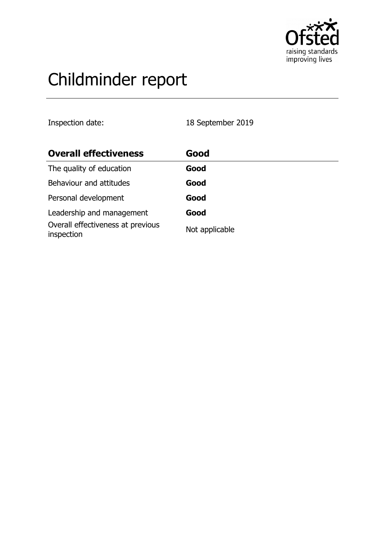

# Childminder report

Inspection date: 18 September 2019

| <b>Overall effectiveness</b>                    | Good           |
|-------------------------------------------------|----------------|
| The quality of education                        | Good           |
| Behaviour and attitudes                         | Good           |
| Personal development                            | Good           |
| Leadership and management                       | Good           |
| Overall effectiveness at previous<br>inspection | Not applicable |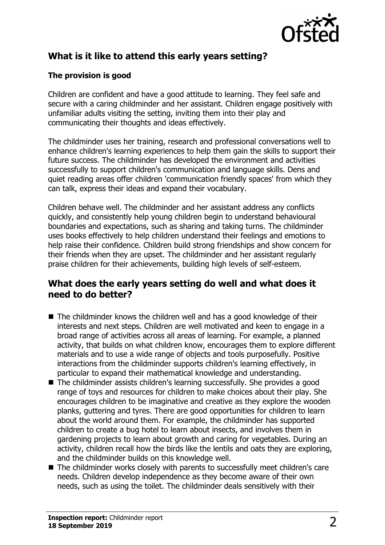

# **What is it like to attend this early years setting?**

### **The provision is good**

Children are confident and have a good attitude to learning. They feel safe and secure with a caring childminder and her assistant. Children engage positively with unfamiliar adults visiting the setting, inviting them into their play and communicating their thoughts and ideas effectively.

The childminder uses her training, research and professional conversations well to enhance children's learning experiences to help them gain the skills to support their future success. The childminder has developed the environment and activities successfully to support children's communication and language skills. Dens and quiet reading areas offer children 'communication friendly spaces' from which they can talk, express their ideas and expand their vocabulary.

Children behave well. The childminder and her assistant address any conflicts quickly, and consistently help young children begin to understand behavioural boundaries and expectations, such as sharing and taking turns. The childminder uses books effectively to help children understand their feelings and emotions to help raise their confidence. Children build strong friendships and show concern for their friends when they are upset. The childminder and her assistant regularly praise children for their achievements, building high levels of self-esteem.

## **What does the early years setting do well and what does it need to do better?**

- $\blacksquare$  The childminder knows the children well and has a good knowledge of their interests and next steps. Children are well motivated and keen to engage in a broad range of activities across all areas of learning. For example, a planned activity, that builds on what children know, encourages them to explore different materials and to use a wide range of objects and tools purposefully. Positive interactions from the childminder supports children's learning effectively, in particular to expand their mathematical knowledge and understanding.
- $\blacksquare$  The childminder assists children's learning successfully. She provides a good range of toys and resources for children to make choices about their play. She encourages children to be imaginative and creative as they explore the wooden planks, guttering and tyres. There are good opportunities for children to learn about the world around them. For example, the childminder has supported children to create a bug hotel to learn about insects, and involves them in gardening projects to learn about growth and caring for vegetables. During an activity, children recall how the birds like the lentils and oats they are exploring, and the childminder builds on this knowledge well.
- $\blacksquare$  The childminder works closely with parents to successfully meet children's care needs. Children develop independence as they become aware of their own needs, such as using the toilet. The childminder deals sensitively with their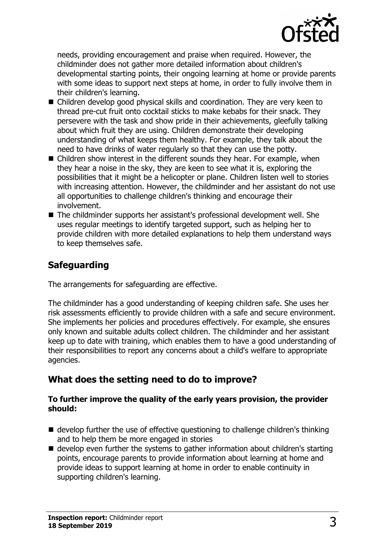

needs, providing encouragement and praise when required. However, the childminder does not gather more detailed information about children's developmental starting points, their ongoing learning at home or provide parents with some ideas to support next steps at home, in order to fully involve them in their children's learning.

- Children develop good physical skills and coordination. They are very keen to thread pre-cut fruit onto cocktail sticks to make kebabs for their snack. They persevere with the task and show pride in their achievements, gleefully talking about which fruit they are using. Children demonstrate their developing understanding of what keeps them healthy. For example, they talk about the need to have drinks of water regularly so that they can use the potty.
- $\blacksquare$  Children show interest in the different sounds they hear. For example, when they hear a noise in the sky, they are keen to see what it is, exploring the possibilities that it might be a helicopter or plane. Children listen well to stories with increasing attention. However, the childminder and her assistant do not use all opportunities to challenge children's thinking and encourage their involvement.
- The childminder supports her assistant's professional development well. She uses regular meetings to identify targeted support, such as helping her to provide children with more detailed explanations to help them understand ways to keep themselves safe.

## **Safeguarding**

The arrangements for safeguarding are effective.

The childminder has a good understanding of keeping children safe. She uses her risk assessments efficiently to provide children with a safe and secure environment. She implements her policies and procedures effectively. For example, she ensures only known and suitable adults collect children. The childminder and her assistant keep up to date with training, which enables them to have a good understanding of their responsibilities to report any concerns about a child's welfare to appropriate agencies.

## **What does the setting need to do to improve?**

#### **To further improve the quality of the early years provision, the provider should:**

- $\blacksquare$  develop further the use of effective questioning to challenge children's thinking and to help them be more engaged in stories
- $\blacksquare$  develop even further the systems to gather information about children's starting points, encourage parents to provide information about learning at home and provide ideas to support learning at home in order to enable continuity in supporting children's learning.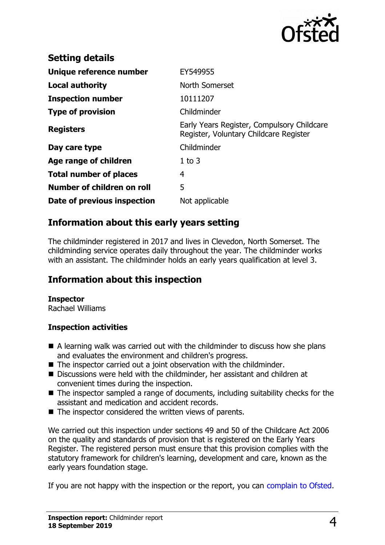

| <b>Setting details</b>        |                                                                                      |
|-------------------------------|--------------------------------------------------------------------------------------|
| Unique reference number       | EY549955                                                                             |
| Local authority               | North Somerset                                                                       |
| <b>Inspection number</b>      | 10111207                                                                             |
| <b>Type of provision</b>      | Childminder                                                                          |
| <b>Registers</b>              | Early Years Register, Compulsory Childcare<br>Register, Voluntary Childcare Register |
| Day care type                 | Childminder                                                                          |
| Age range of children         | $1$ to $3$                                                                           |
| <b>Total number of places</b> | 4                                                                                    |
| Number of children on roll    | 5                                                                                    |
| Date of previous inspection   | Not applicable                                                                       |

## **Information about this early years setting**

The childminder registered in 2017 and lives in Clevedon, North Somerset. The childminding service operates daily throughout the year. The childminder works with an assistant. The childminder holds an early years qualification at level 3.

## **Information about this inspection**

#### **Inspector**

Rachael Williams

#### **Inspection activities**

- $\blacksquare$  A learning walk was carried out with the childminder to discuss how she plans and evaluates the environment and children's progress.
- $\blacksquare$  The inspector carried out a joint observation with the childminder.
- Discussions were held with the childminder, her assistant and children at convenient times during the inspection.
- $\blacksquare$  The inspector sampled a range of documents, including suitability checks for the assistant and medication and accident records.
- $\blacksquare$  The inspector considered the written views of parents.

We carried out this inspection under sections 49 and 50 of the Childcare Act 2006 on the quality and standards of provision that is registered on the Early Years Register. The registered person must ensure that this provision complies with the statutory framework for children's learning, development and care, known as the early years foundation stage.

If you are not happy with the inspection or the report, you can [complain to Ofsted.](http://www.gov.uk/complain-ofsted-report)